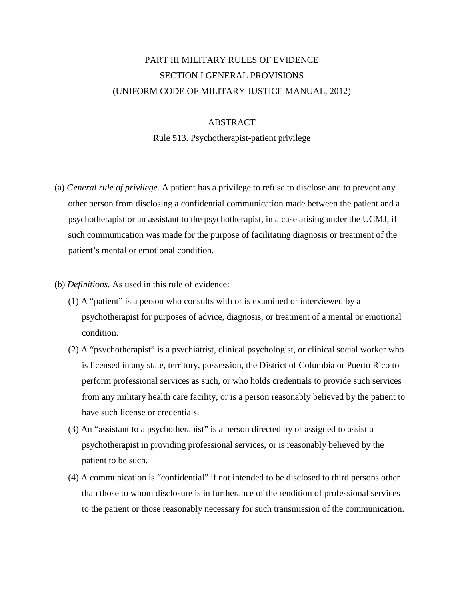## PART III MILITARY RULES OF EVIDENCE SECTION I GENERAL PROVISIONS (UNIFORM CODE OF MILITARY JUSTICE MANUAL, 2012)

## ABSTRACT

Rule 513. Psychotherapist-patient privilege

- (a) *General rule of privilege.* A patient has a privilege to refuse to disclose and to prevent any other person from disclosing a confidential communication made between the patient and a psychotherapist or an assistant to the psychotherapist, in a case arising under the UCMJ, if such communication was made for the purpose of facilitating diagnosis or treatment of the patient's mental or emotional condition.
- (b) *Definitions.* As used in this rule of evidence:
	- (1) A "patient" is a person who consults with or is examined or interviewed by a psychotherapist for purposes of advice, diagnosis, or treatment of a mental or emotional condition.
	- (2) A "psychotherapist" is a psychiatrist, clinical psychologist, or clinical social worker who is licensed in any state, territory, possession, the District of Columbia or Puerto Rico to perform professional services as such, or who holds credentials to provide such services from any military health care facility, or is a person reasonably believed by the patient to have such license or credentials.
	- (3) An "assistant to a psychotherapist" is a person directed by or assigned to assist a psychotherapist in providing professional services, or is reasonably believed by the patient to be such.
	- (4) A communication is "confidential" if not intended to be disclosed to third persons other than those to whom disclosure is in furtherance of the rendition of professional services to the patient or those reasonably necessary for such transmission of the communication.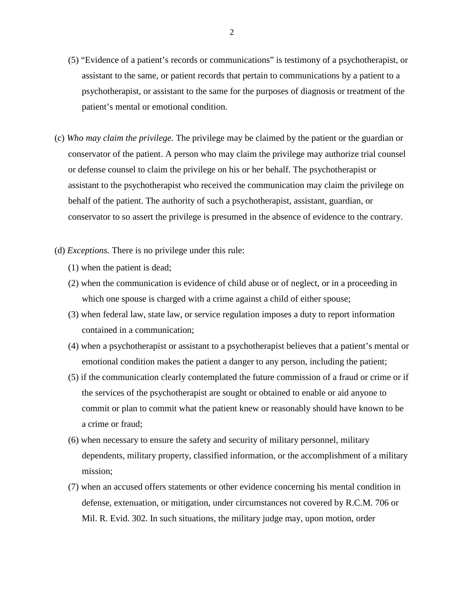- (5) "Evidence of a patient's records or communications" is testimony of a psychotherapist, or assistant to the same, or patient records that pertain to communications by a patient to a psychotherapist, or assistant to the same for the purposes of diagnosis or treatment of the patient's mental or emotional condition.
- (c) *Who may claim the privilege.* The privilege may be claimed by the patient or the guardian or conservator of the patient. A person who may claim the privilege may authorize trial counsel or defense counsel to claim the privilege on his or her behalf. The psychotherapist or assistant to the psychotherapist who received the communication may claim the privilege on behalf of the patient. The authority of such a psychotherapist, assistant, guardian, or conservator to so assert the privilege is presumed in the absence of evidence to the contrary.
- (d) *Exceptions.* There is no privilege under this rule:
	- (1) when the patient is dead;
	- (2) when the communication is evidence of child abuse or of neglect, or in a proceeding in which one spouse is charged with a crime against a child of either spouse;
	- (3) when federal law, state law, or service regulation imposes a duty to report information contained in a communication;
	- (4) when a psychotherapist or assistant to a psychotherapist believes that a patient's mental or emotional condition makes the patient a danger to any person, including the patient;
	- (5) if the communication clearly contemplated the future commission of a fraud or crime or if the services of the psychotherapist are sought or obtained to enable or aid anyone to commit or plan to commit what the patient knew or reasonably should have known to be a crime or fraud;
	- (6) when necessary to ensure the safety and security of military personnel, military dependents, military property, classified information, or the accomplishment of a military mission;
	- (7) when an accused offers statements or other evidence concerning his mental condition in defense, extenuation, or mitigation, under circumstances not covered by R.C.M. 706 or Mil. R. Evid. 302. In such situations, the military judge may, upon motion, order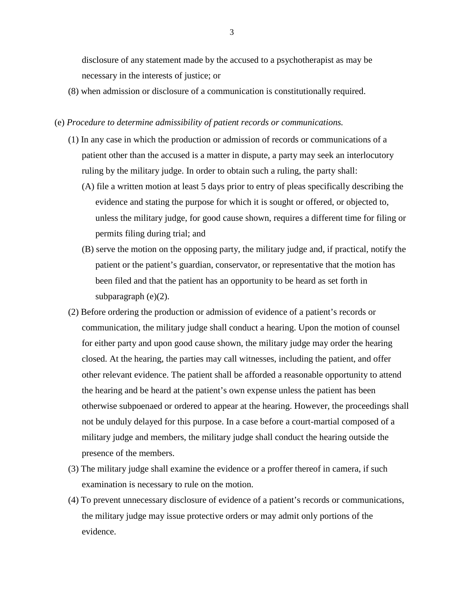disclosure of any statement made by the accused to a psychotherapist as may be necessary in the interests of justice; or

(8) when admission or disclosure of a communication is constitutionally required.

## (e) *Procedure to determine admissibility of patient records or communications.*

- (1) In any case in which the production or admission of records or communications of a patient other than the accused is a matter in dispute, a party may seek an interlocutory ruling by the military judge. In order to obtain such a ruling, the party shall:
	- (A) file a written motion at least 5 days prior to entry of pleas specifically describing the evidence and stating the purpose for which it is sought or offered, or objected to, unless the military judge, for good cause shown, requires a different time for filing or permits filing during trial; and
	- (B) serve the motion on the opposing party, the military judge and, if practical, notify the patient or the patient's guardian, conservator, or representative that the motion has been filed and that the patient has an opportunity to be heard as set forth in subparagraph (e)(2).
- (2) Before ordering the production or admission of evidence of a patient's records or communication, the military judge shall conduct a hearing. Upon the motion of counsel for either party and upon good cause shown, the military judge may order the hearing closed. At the hearing, the parties may call witnesses, including the patient, and offer other relevant evidence. The patient shall be afforded a reasonable opportunity to attend the hearing and be heard at the patient's own expense unless the patient has been otherwise subpoenaed or ordered to appear at the hearing. However, the proceedings shall not be unduly delayed for this purpose. In a case before a court-martial composed of a military judge and members, the military judge shall conduct the hearing outside the presence of the members.
- (3) The military judge shall examine the evidence or a proffer thereof in camera, if such examination is necessary to rule on the motion.
- (4) To prevent unnecessary disclosure of evidence of a patient's records or communications, the military judge may issue protective orders or may admit only portions of the evidence.